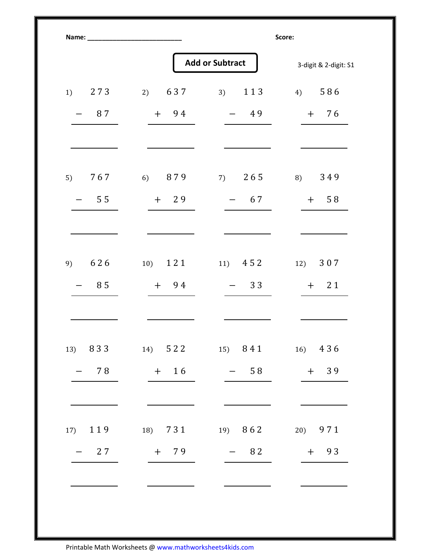|           | <b>Add or Subtract</b>          |           | 3-digit & 2-digit: S1 |
|-----------|---------------------------------|-----------|-----------------------|
| 273<br>1) | 2) $637$                        | 113<br>3) | 4) $586$              |
| 87        | $+$ 94                          | $-49$     | $+ 76$                |
| 767<br>5) | 6) 879                          | 7) $265$  | 8) 349                |
| 55        | $+29$                           | $-67$     | $+ 58$                |
| 626<br>9) | $10)$ 1 2 1                     | 11) $452$ | 12) 307               |
| 85        | $+$ 94                          | $-33$     | $+ 21$                |
|           | 13) 833 14) 522 15) 841 16) 436 |           |                       |
| $-78$     | $+$ 16                          | $-58$     | $+ 39$                |
| 17) 119   | 18) 731                         | $19)$ 862 | 20) 971               |
| $-27$     | $+$ 79                          | $-82$     | $+ 93$                |

Printable Math Worksheets @ www.mathworksheets4kids.com